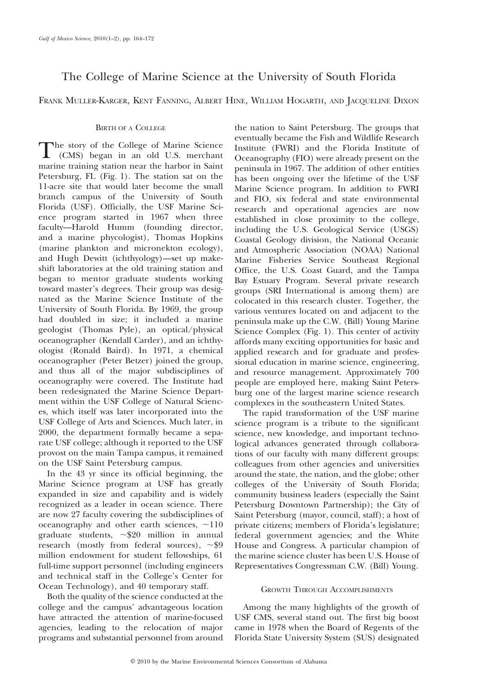# The College of Marine Science at the University of South Florida

FRANK MULLER-KARGER, KENT FANNING, ALBERT HINE, WILLIAM HOGARTH, AND JACQUELINE DIXON

# BIRTH OF A COLLEGE

The story of the College of Marine Science (CMS) began in an old U.S. merchant marine training station near the harbor in Saint Petersburg, FL (Fig. 1). The station sat on the 11-acre site that would later become the small branch campus of the University of South Florida (USF). Officially, the USF Marine Science program started in 1967 when three faculty—Harold Humm (founding director, and a marine phycologist), Thomas Hopkins (marine plankton and micronekton ecology), and Hugh Dewitt (ichthyology)—set up makeshift laboratories at the old training station and began to mentor graduate students working toward master's degrees. Their group was designated as the Marine Science Institute of the University of South Florida. By 1969, the group had doubled in size; it included a marine geologist (Thomas Pyle), an optical/physical oceanographer (Kendall Carder), and an ichthyologist (Ronald Baird). In 1971, a chemical oceanographer (Peter Betzer) joined the group, and thus all of the major subdisciplines of oceanography were covered. The Institute had been redesignated the Marine Science Department within the USF College of Natural Sciences, which itself was later incorporated into the USF College of Arts and Sciences. Much later, in 2000, the department formally became a separate USF college; although it reported to the USF provost on the main Tampa campus, it remained on the USF Saint Petersburg campus.

In the 43 yr since its official beginning, the Marine Science program at USF has greatly expanded in size and capability and is widely recognized as a leader in ocean science. There are now 27 faculty covering the subdisciplines of oceanography and other earth sciences,  $\sim$ 110 graduate students,  $\approx 20$  million in annual research (mostly from federal sources),  $\sim$ \$9 million endowment for student fellowships, 61 full-time support personnel (including engineers and technical staff in the College's Center for Ocean Technology), and 40 temporary staff.

Both the quality of the science conducted at the college and the campus' advantageous location have attracted the attention of marine-focused agencies, leading to the relocation of major programs and substantial personnel from around the nation to Saint Petersburg. The groups that eventually became the Fish and Wildlife Research Institute (FWRI) and the Florida Institute of Oceanography (FIO) were already present on the peninsula in 1967. The addition of other entities has been ongoing over the lifetime of the USF Marine Science program. In addition to FWRI and FIO, six federal and state environmental research and operational agencies are now established in close proximity to the college, including the U.S. Geological Service (USGS) Coastal Geology division, the National Oceanic and Atmospheric Association (NOAA) National Marine Fisheries Service Southeast Regional Office, the U.S. Coast Guard, and the Tampa Bay Estuary Program. Several private research groups (SRI International is among them) are colocated in this research cluster. Together, the various ventures located on and adjacent to the peninsula make up the C.W. (Bill) Young Marine Science Complex (Fig. 1). This center of activity affords many exciting opportunities for basic and applied research and for graduate and professional education in marine science, engineering, and resource management. Approximately 700 people are employed here, making Saint Petersburg one of the largest marine science research complexes in the southeastern United States.

The rapid transformation of the USF marine science program is a tribute to the significant science, new knowledge, and important technological advances generated through collaborations of our faculty with many different groups: colleagues from other agencies and universities around the state, the nation, and the globe; other colleges of the University of South Florida; community business leaders (especially the Saint Petersburg Downtown Partnership); the City of Saint Petersburg (mayor, council, staff); a host of private citizens; members of Florida's legislature; federal government agencies; and the White House and Congress. A particular champion of the marine science cluster has been U.S. House of Representatives Congressman C.W. (Bill) Young.

## GROWTH THROUGH ACCOMPLISHMENTS

Among the many highlights of the growth of USF CMS, several stand out. The first big boost came in 1978 when the Board of Regents of the Florida State University System (SUS) designated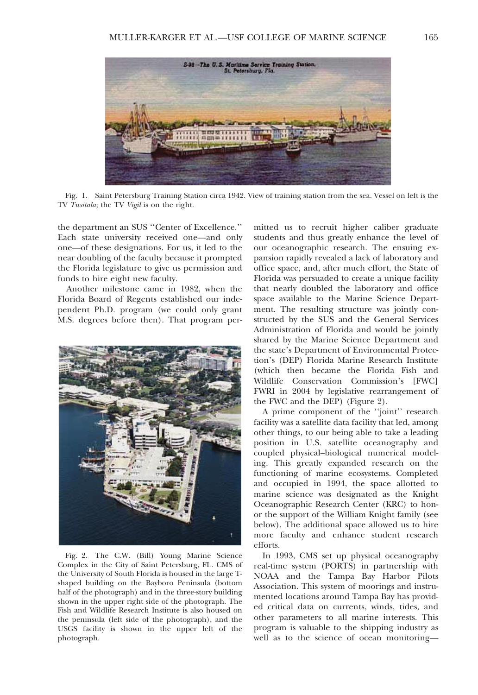

Fig. 1. Saint Petersburg Training Station circa 1942. View of training station from the sea. Vessel on left is the TV Tusitala; the TV Vigil is on the right.

the department an SUS ''Center of Excellence.'' Each state university received one—and only one—of these designations. For us, it led to the near doubling of the faculty because it prompted the Florida legislature to give us permission and funds to hire eight new faculty.

Another milestone came in 1982, when the Florida Board of Regents established our independent Ph.D. program (we could only grant M.S. degrees before then). That program per-



Fig. 2. The C.W. (Bill) Young Marine Science Complex in the City of Saint Petersburg, FL. CMS of the University of South Florida is housed in the large Tshaped building on the Bayboro Peninsula (bottom half of the photograph) and in the three-story building shown in the upper right side of the photograph. The Fish and Wildlife Research Institute is also housed on the peninsula (left side of the photograph), and the USGS facility is shown in the upper left of the photograph.

mitted us to recruit higher caliber graduate students and thus greatly enhance the level of our oceanographic research. The ensuing expansion rapidly revealed a lack of laboratory and office space, and, after much effort, the State of Florida was persuaded to create a unique facility that nearly doubled the laboratory and office space available to the Marine Science Department. The resulting structure was jointly constructed by the SUS and the General Services Administration of Florida and would be jointly shared by the Marine Science Department and the state's Department of Environmental Protection's (DEP) Florida Marine Research Institute (which then became the Florida Fish and Wildlife Conservation Commission's [FWC] FWRI in 2004 by legislative rearrangement of the FWC and the DEP) (Figure 2).

A prime component of the ''joint'' research facility was a satellite data facility that led, among other things, to our being able to take a leading position in U.S. satellite oceanography and coupled physical–biological numerical modeling. This greatly expanded research on the functioning of marine ecosystems. Completed and occupied in 1994, the space allotted to marine science was designated as the Knight Oceanographic Research Center (KRC) to honor the support of the William Knight family (see below). The additional space allowed us to hire more faculty and enhance student research efforts.

In 1993, CMS set up physical oceanography real-time system (PORTS) in partnership with NOAA and the Tampa Bay Harbor Pilots Association. This system of moorings and instrumented locations around Tampa Bay has provided critical data on currents, winds, tides, and other parameters to all marine interests. This program is valuable to the shipping industry as well as to the science of ocean monitoring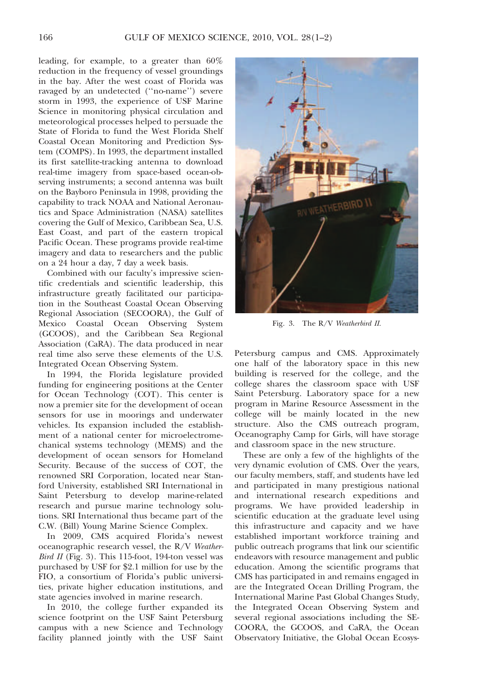leading, for example, to a greater than 60% reduction in the frequency of vessel groundings in the bay. After the west coast of Florida was ravaged by an undetected (''no-name'') severe storm in 1993, the experience of USF Marine Science in monitoring physical circulation and meteorological processes helped to persuade the State of Florida to fund the West Florida Shelf Coastal Ocean Monitoring and Prediction System (COMPS). In 1993, the department installed its first satellite-tracking antenna to download real-time imagery from space-based ocean-observing instruments; a second antenna was built on the Bayboro Peninsula in 1998, providing the capability to track NOAA and National Aeronautics and Space Administration (NASA) satellites covering the Gulf of Mexico, Caribbean Sea, U.S. East Coast, and part of the eastern tropical Pacific Ocean. These programs provide real-time imagery and data to researchers and the public on a 24 hour a day, 7 day a week basis.

Combined with our faculty's impressive scientific credentials and scientific leadership, this infrastructure greatly facilitated our participation in the Southeast Coastal Ocean Observing Regional Association (SECOORA), the Gulf of Mexico Coastal Ocean Observing System (GCOOS), and the Caribbean Sea Regional Association (CaRA). The data produced in near real time also serve these elements of the U.S. Integrated Ocean Observing System.

In 1994, the Florida legislature provided funding for engineering positions at the Center for Ocean Technology (COT). This center is now a premier site for the development of ocean sensors for use in moorings and underwater vehicles. Its expansion included the establishment of a national center for microelectromechanical systems technology (MEMS) and the development of ocean sensors for Homeland Security. Because of the success of COT, the renowned SRI Corporation, located near Stanford University, established SRI International in Saint Petersburg to develop marine-related research and pursue marine technology solutions. SRI International thus became part of the C.W. (Bill) Young Marine Science Complex.

In 2009, CMS acquired Florida's newest oceanographic research vessel, the R/V Weather-Bird II (Fig. 3). This  $115$ -foot, 194-ton vessel was purchased by USF for \$2.1 million for use by the FIO, a consortium of Florida's public universities, private higher education institutions, and state agencies involved in marine research.

In 2010, the college further expanded its science footprint on the USF Saint Petersburg campus with a new Science and Technology facility planned jointly with the USF Saint



Fig. 3. The R/V Weatherbird II.

Petersburg campus and CMS. Approximately one half of the laboratory space in this new building is reserved for the college, and the college shares the classroom space with USF Saint Petersburg. Laboratory space for a new program in Marine Resource Assessment in the college will be mainly located in the new structure. Also the CMS outreach program, Oceanography Camp for Girls, will have storage and classroom space in the new structure.

These are only a few of the highlights of the very dynamic evolution of CMS. Over the years, our faculty members, staff, and students have led and participated in many prestigious national and international research expeditions and programs. We have provided leadership in scientific education at the graduate level using this infrastructure and capacity and we have established important workforce training and public outreach programs that link our scientific endeavors with resource management and public education. Among the scientific programs that CMS has participated in and remains engaged in are the Integrated Ocean Drilling Program, the International Marine Past Global Changes Study, the Integrated Ocean Observing System and several regional associations including the SE-COORA, the GCOOS, and CaRA, the Ocean Observatory Initiative, the Global Ocean Ecosys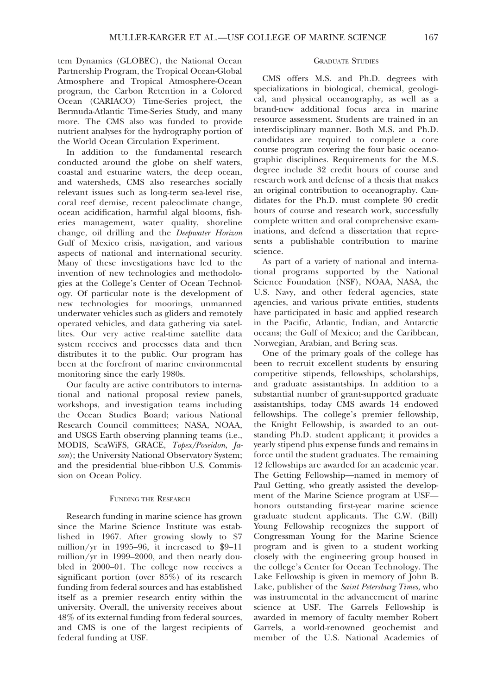tem Dynamics (GLOBEC), the National Ocean Partnership Program, the Tropical Ocean-Global Atmosphere and Tropical Atmosphere-Ocean program, the Carbon Retention in a Colored Ocean (CARIACO) Time-Series project, the Bermuda-Atlantic Time-Series Study, and many more. The CMS also was funded to provide nutrient analyses for the hydrography portion of the World Ocean Circulation Experiment.

In addition to the fundamental research conducted around the globe on shelf waters, coastal and estuarine waters, the deep ocean, and watersheds, CMS also researches socially relevant issues such as long-term sea-level rise, coral reef demise, recent paleoclimate change, ocean acidification, harmful algal blooms, fisheries management, water quality, shoreline change, oil drilling and the Deepwater Horizon Gulf of Mexico crisis, navigation, and various aspects of national and international security. Many of these investigations have led to the invention of new technologies and methodologies at the College's Center of Ocean Technology. Of particular note is the development of new technologies for moorings, unmanned underwater vehicles such as gliders and remotely operated vehicles, and data gathering via satellites. Our very active real-time satellite data system receives and processes data and then distributes it to the public. Our program has been at the forefront of marine environmental monitoring since the early 1980s.

Our faculty are active contributors to international and national proposal review panels, workshops, and investigation teams including the Ocean Studies Board; various National Research Council committees; NASA, NOAA, and USGS Earth observing planning teams (i.e., MODIS, SeaWiFS, GRACE, Topex/Poseidon, Jason); the University National Observatory System; and the presidential blue-ribbon U.S. Commission on Ocean Policy.

## FUNDING THE RESEARCH

Research funding in marine science has grown since the Marine Science Institute was established in 1967. After growing slowly to \$7 million/yr in 1995–96, it increased to \$9–11 million/yr in 1999–2000, and then nearly doubled in 2000–01. The college now receives a significant portion (over 85%) of its research funding from federal sources and has established itself as a premier research entity within the university. Overall, the university receives about 48% of its external funding from federal sources, and CMS is one of the largest recipients of federal funding at USF.

# GRADUATE STUDIES

CMS offers M.S. and Ph.D. degrees with specializations in biological, chemical, geological, and physical oceanography, as well as a brand-new additional focus area in marine resource assessment. Students are trained in an interdisciplinary manner. Both M.S. and Ph.D. candidates are required to complete a core course program covering the four basic oceanographic disciplines. Requirements for the M.S. degree include 32 credit hours of course and research work and defense of a thesis that makes an original contribution to oceanography. Candidates for the Ph.D. must complete 90 credit hours of course and research work, successfully complete written and oral comprehensive examinations, and defend a dissertation that represents a publishable contribution to marine science.

As part of a variety of national and international programs supported by the National Science Foundation (NSF), NOAA, NASA, the U.S. Navy, and other federal agencies, state agencies, and various private entities, students have participated in basic and applied research in the Pacific, Atlantic, Indian, and Antarctic oceans; the Gulf of Mexico; and the Caribbean, Norwegian, Arabian, and Bering seas.

One of the primary goals of the college has been to recruit excellent students by ensuring competitive stipends, fellowships, scholarships, and graduate assistantships. In addition to a substantial number of grant-supported graduate assistantships, today CMS awards 14 endowed fellowships. The college's premier fellowship, the Knight Fellowship, is awarded to an outstanding Ph.D. student applicant; it provides a yearly stipend plus expense funds and remains in force until the student graduates. The remaining 12 fellowships are awarded for an academic year. The Getting Fellowship—named in memory of Paul Getting, who greatly assisted the development of the Marine Science program at USF honors outstanding first-year marine science graduate student applicants. The C.W. (Bill) Young Fellowship recognizes the support of Congressman Young for the Marine Science program and is given to a student working closely with the engineering group housed in the college's Center for Ocean Technology. The Lake Fellowship is given in memory of John B. Lake, publisher of the Saint Petersburg Times, who was instrumental in the advancement of marine science at USF. The Garrels Fellowship is awarded in memory of faculty member Robert Garrels, a world-renowned geochemist and member of the U.S. National Academies of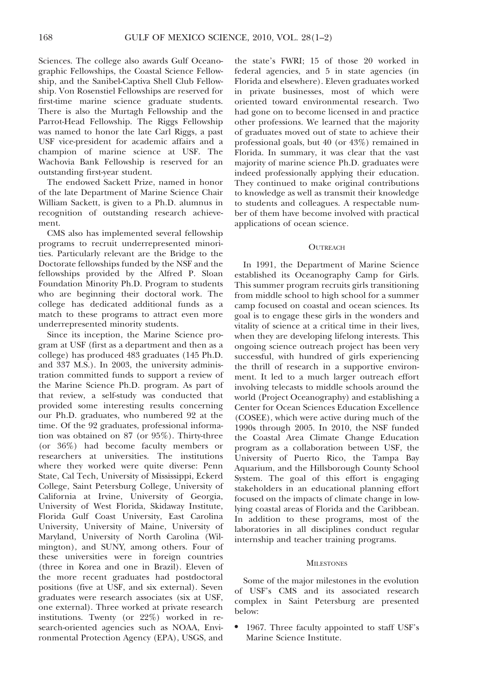Sciences. The college also awards Gulf Oceanographic Fellowships, the Coastal Science Fellowship, and the Sanibel-Captiva Shell Club Fellowship. Von Rosenstiel Fellowships are reserved for first-time marine science graduate students. There is also the Murtagh Fellowship and the Parrot-Head Fellowship. The Riggs Fellowship was named to honor the late Carl Riggs, a past USF vice-president for academic affairs and a champion of marine science at USF. The Wachovia Bank Fellowship is reserved for an outstanding first-year student.

The endowed Sackett Prize, named in honor of the late Department of Marine Science Chair William Sackett, is given to a Ph.D. alumnus in recognition of outstanding research achievement.

CMS also has implemented several fellowship programs to recruit underrepresented minorities. Particularly relevant are the Bridge to the Doctorate fellowships funded by the NSF and the fellowships provided by the Alfred P. Sloan Foundation Minority Ph.D. Program to students who are beginning their doctoral work. The college has dedicated additional funds as a match to these programs to attract even more underrepresented minority students.

Since its inception, the Marine Science program at USF (first as a department and then as a college) has produced 483 graduates (145 Ph.D. and 337 M.S.). In 2003, the university administration committed funds to support a review of the Marine Science Ph.D. program. As part of that review, a self-study was conducted that provided some interesting results concerning our Ph.D. graduates, who numbered 92 at the time. Of the 92 graduates, professional information was obtained on 87 (or 95%). Thirty-three (or 36%) had become faculty members or researchers at universities. The institutions where they worked were quite diverse: Penn State, Cal Tech, University of Mississippi, Eckerd College, Saint Petersburg College, University of California at Irvine, University of Georgia, University of West Florida, Skidaway Institute, Florida Gulf Coast University, East Carolina University, University of Maine, University of Maryland, University of North Carolina (Wilmington), and SUNY, among others. Four of these universities were in foreign countries (three in Korea and one in Brazil). Eleven of the more recent graduates had postdoctoral positions (five at USF, and six external). Seven graduates were research associates (six at USF, one external). Three worked at private research institutions. Twenty (or 22%) worked in research-oriented agencies such as NOAA, Environmental Protection Agency (EPA), USGS, and

the state's FWRI; 15 of those 20 worked in federal agencies, and 5 in state agencies (in Florida and elsewhere). Eleven graduates worked in private businesses, most of which were oriented toward environmental research. Two had gone on to become licensed in and practice other professions. We learned that the majority of graduates moved out of state to achieve their professional goals, but 40 (or 43%) remained in Florida. In summary, it was clear that the vast majority of marine science Ph.D. graduates were indeed professionally applying their education. They continued to make original contributions to knowledge as well as transmit their knowledge to students and colleagues. A respectable number of them have become involved with practical applications of ocean science.

#### **OUTREACH**

In 1991, the Department of Marine Science established its Oceanography Camp for Girls. This summer program recruits girls transitioning from middle school to high school for a summer camp focused on coastal and ocean sciences. Its goal is to engage these girls in the wonders and vitality of science at a critical time in their lives, when they are developing lifelong interests. This ongoing science outreach project has been very successful, with hundred of girls experiencing the thrill of research in a supportive environment. It led to a much larger outreach effort involving telecasts to middle schools around the world (Project Oceanography) and establishing a Center for Ocean Sciences Education Excellence (COSEE), which were active during much of the 1990s through 2005. In 2010, the NSF funded the Coastal Area Climate Change Education program as a collaboration between USF, the University of Puerto Rico, the Tampa Bay Aquarium, and the Hillsborough County School System. The goal of this effort is engaging stakeholders in an educational planning effort focused on the impacts of climate change in lowlying coastal areas of Florida and the Caribbean. In addition to these programs, most of the laboratories in all disciplines conduct regular internship and teacher training programs.

### **MILESTONES**

Some of the major milestones in the evolution of USF's CMS and its associated research complex in Saint Petersburg are presented below:

1967. Three faculty appointed to staff USF's Marine Science Institute.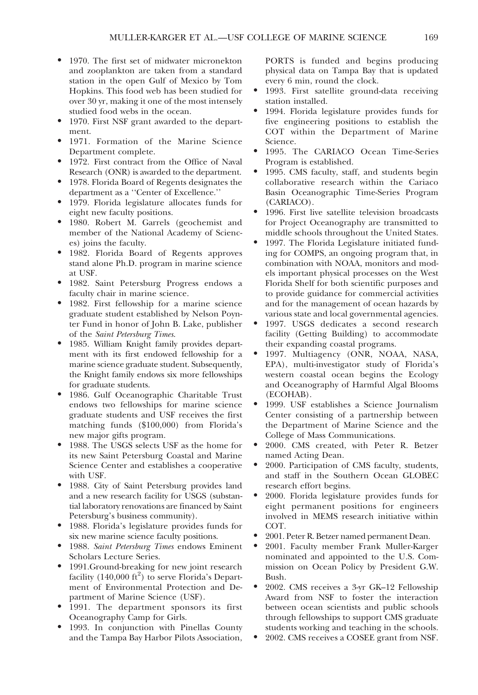- 1970. The first set of midwater micronekton and zooplankton are taken from a standard station in the open Gulf of Mexico by Tom Hopkins. This food web has been studied for over 30 yr, making it one of the most intensely studied food webs in the ocean.
- 1970. First NSF grant awarded to the department.
- $\bullet$  1971. Formation of the Marine Science Department complete.
- 1972. First contract from the Office of Naval Research (ONR) is awarded to the department.
- 1978. Florida Board of Regents designates the department as a ''Center of Excellence.''
- 1979. Florida legislature allocates funds for eight new faculty positions.
- N 1980. Robert M. Garrels (geochemist and member of the National Academy of Sciences) joins the faculty.
- $\bullet$  1982. Florida Board of Regents approves stand alone Ph.D. program in marine science at USF.
- $\bullet$  1982. Saint Petersburg Progress endows a faculty chair in marine science.
- 1982. First fellowship for a marine science graduate student established by Nelson Poynter Fund in honor of John B. Lake, publisher of the Saint Petersburg Times.
- 1985. William Knight family provides department with its first endowed fellowship for a marine science graduate student. Subsequently, the Knight family endows six more fellowships for graduate students.
- 1986. Gulf Oceanographic Charitable Trust endows two fellowships for marine science graduate students and USF receives the first matching funds (\$100,000) from Florida's new major gifts program.
- $\bullet$  1988. The USGS selects USF as the home for its new Saint Petersburg Coastal and Marine Science Center and establishes a cooperative with USF.
- 1988. City of Saint Petersburg provides land and a new research facility for USGS (substantial laboratory renovations are financed by Saint Petersburg's business community).
- N 1988. Florida's legislature provides funds for six new marine science faculty positions.
- 1988. Saint Petersburg Times endows Eminent Scholars Lecture Series.
- 1991.Ground-breaking for new joint research facility (140,000 ft<sup>2</sup>) to serve Florida's Department of Environmental Protection and Department of Marine Science (USF).
- 1991. The department sponsors its first Oceanography Camp for Girls.
- 1993. In conjunction with Pinellas County and the Tampa Bay Harbor Pilots Association,

PORTS is funded and begins producing physical data on Tampa Bay that is updated every 6 min, round the clock.

- 1993. First satellite ground-data receiving station installed.
- 1994. Florida legislature provides funds for five engineering positions to establish the COT within the Department of Marine Science.
- 1995. The CARIACO Ocean Time-Series Program is established.
- 1995. CMS faculty, staff, and students begin collaborative research within the Cariaco Basin Oceanographic Time-Series Program (CARIACO).
- 1996. First live satellite television broadcasts for Project Oceanography are transmitted to middle schools throughout the United States.
- 1997. The Florida Legislature initiated funding for COMPS, an ongoing program that, in combination with NOAA, monitors and models important physical processes on the West Florida Shelf for both scientific purposes and to provide guidance for commercial activities and for the management of ocean hazards by various state and local governmental agencies.
- 1997. USGS dedicates a second research facility (Getting Building) to accommodate their expanding coastal programs.
- $\bullet$  1997. Multiagency (ONR, NOAA, NASA, EPA), multi-investigator study of Florida's western coastal ocean begins the Ecology and Oceanography of Harmful Algal Blooms (ECOHAB).
- 1999. USF establishes a Science Journalism Center consisting of a partnership between the Department of Marine Science and the College of Mass Communications.
- 2000. CMS created, with Peter R. Betzer named Acting Dean.
- 2000. Participation of CMS faculty, students, and staff in the Southern Ocean GLOBEC research effort begins.
- 2000. Florida legislature provides funds for eight permanent positions for engineers involved in MEMS research initiative within COT.
- 2001. Peter R. Betzer named permanent Dean.
- 2001. Faculty member Frank Muller-Karger nominated and appointed to the U.S. Commission on Ocean Policy by President G.W. Bush.
- 2002. CMS receives a 3-yr GK-12 Fellowship Award from NSF to foster the interaction between ocean scientists and public schools through fellowships to support CMS graduate students working and teaching in the schools.
- 2002. CMS receives a COSEE grant from NSF.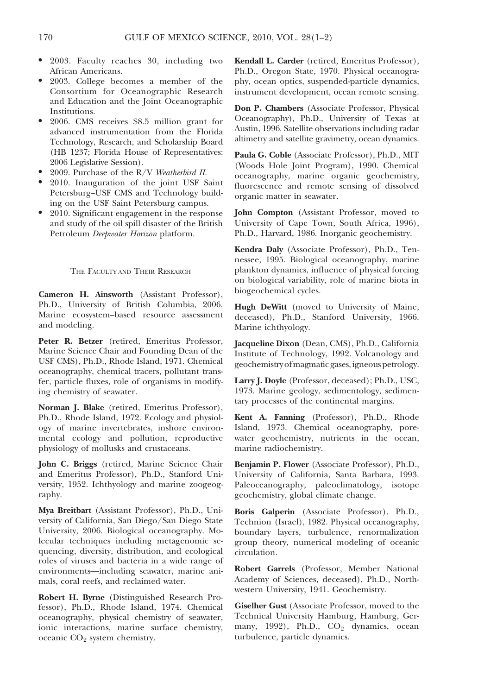- 2003. Faculty reaches 30, including two African Americans.
- 2003. College becomes a member of the Consortium for Oceanographic Research and Education and the Joint Oceanographic Institutions.
- 2006. CMS receives \$8.5 million grant for advanced instrumentation from the Florida Technology, Research, and Scholarship Board (HB 1237; Florida House of Representatives: 2006 Legislative Session).
- 2009. Purchase of the R/V Weatherbird II.
- 2010. Inauguration of the joint USF Saint Petersburg–USF CMS and Technology building on the USF Saint Petersburg campus.
- 2010. Significant engagement in the response and study of the oil spill disaster of the British Petroleum Deepwater Horizon platform.

THE FACULTY AND THEIR RESEARCH

Cameron H. Ainsworth (Assistant Professor), Ph.D., University of British Columbia, 2006. Marine ecosystem–based resource assessment and modeling.

Peter R. Betzer (retired, Emeritus Professor, Marine Science Chair and Founding Dean of the USF CMS), Ph.D., Rhode Island, 1971. Chemical oceanography, chemical tracers, pollutant transfer, particle fluxes, role of organisms in modifying chemistry of seawater.

Norman J. Blake (retired, Emeritus Professor), Ph.D., Rhode Island, 1972. Ecology and physiology of marine invertebrates, inshore environmental ecology and pollution, reproductive physiology of mollusks and crustaceans.

John C. Briggs (retired, Marine Science Chair and Emeritus Professor), Ph.D., Stanford University, 1952. Ichthyology and marine zoogeography.

Mya Breitbart (Assistant Professor), Ph.D., University of California, San Diego/San Diego State University, 2006. Biological oceanography. Molecular techniques including metagenomic sequencing, diversity, distribution, and ecological roles of viruses and bacteria in a wide range of environments—including seawater, marine animals, coral reefs, and reclaimed water.

Robert H. Byrne (Distinguished Research Professor), Ph.D., Rhode Island, 1974. Chemical oceanography, physical chemistry of seawater, ionic interactions, marine surface chemistry, oceanic CO<sub>2</sub> system chemistry.

Kendall L. Carder (retired, Emeritus Professor), Ph.D., Oregon State, 1970. Physical oceanography, ocean optics, suspended-particle dynamics, instrument development, ocean remote sensing.

Don P. Chambers (Associate Professor, Physical Oceanography), Ph.D., University of Texas at Austin, 1996. Satellite observations including radar altimetry and satellite gravimetry, ocean dynamics.

Paula G. Coble (Associate Professor), Ph.D., MIT (Woods Hole Joint Program), 1990. Chemical oceanography, marine organic geochemistry, fluorescence and remote sensing of dissolved organic matter in seawater.

John Compton (Assistant Professor, moved to University of Cape Town, South Africa, 1996), Ph.D., Harvard, 1986. Inorganic geochemistry.

Kendra Daly (Associate Professor), Ph.D., Tennessee, 1995. Biological oceanography, marine plankton dynamics, influence of physical forcing on biological variability, role of marine biota in biogeochemical cycles.

Hugh DeWitt (moved to University of Maine, deceased), Ph.D., Stanford University, 1966. Marine ichthyology.

Jacqueline Dixon (Dean, CMS), Ph.D., California Institute of Technology, 1992. Volcanology and geochemistry ofmagmatic gases,igneous petrology.

Larry J. Doyle (Professor, deceased); Ph.D., USC, 1973. Marine geology, sedimentology, sedimentary processes of the continental margins.

Kent A. Fanning (Professor), Ph.D., Rhode Island, 1973. Chemical oceanography, porewater geochemistry, nutrients in the ocean, marine radiochemistry.

Benjamin P. Flower (Associate Professor), Ph.D., University of California, Santa Barbara, 1993. Paleoceanography, paleoclimatology, isotope geochemistry, global climate change.

Boris Galperin (Associate Professor), Ph.D., Technion (Israel), 1982. Physical oceanography, boundary layers, turbulence, renormalization group theory, numerical modeling of oceanic circulation.

Robert Garrels (Professor, Member National Academy of Sciences, deceased), Ph.D., Northwestern University, 1941. Geochemistry.

Giselher Gust (Associate Professor, moved to the Technical University Hamburg, Hamburg, Germany, 1992), Ph.D., CO<sub>2</sub> dynamics, ocean turbulence, particle dynamics.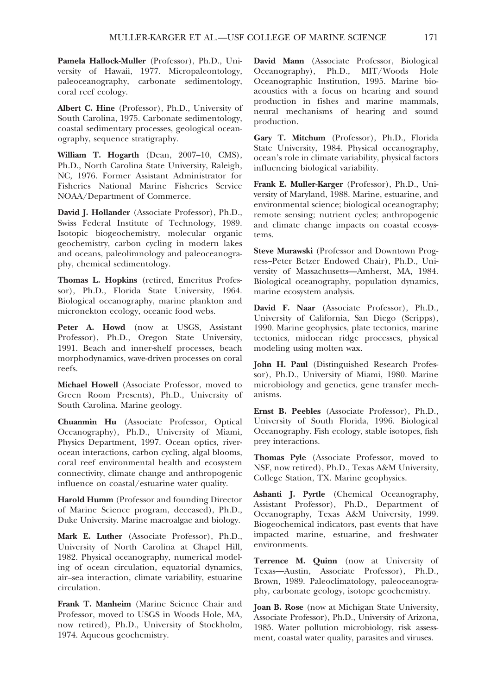Pamela Hallock-Muller (Professor), Ph.D., University of Hawaii, 1977. Micropaleontology, paleoceanography, carbonate sedimentology, coral reef ecology.

Albert C. Hine (Professor), Ph.D., University of South Carolina, 1975. Carbonate sedimentology, coastal sedimentary processes, geological oceanography, sequence stratigraphy.

William T. Hogarth (Dean, 2007–10, CMS), Ph.D., North Carolina State University, Raleigh, NC, 1976. Former Assistant Administrator for Fisheries National Marine Fisheries Service NOAA/Department of Commerce.

David J. Hollander (Associate Professor), Ph.D., Swiss Federal Institute of Technology, 1989. Isotopic biogeochemistry, molecular organic geochemistry, carbon cycling in modern lakes and oceans, paleolimnology and paleoceanography, chemical sedimentology.

Thomas L. Hopkins (retired, Emeritus Professor), Ph.D., Florida State University, 1964. Biological oceanography, marine plankton and micronekton ecology, oceanic food webs.

Peter A. Howd (now at USGS, Assistant Professor), Ph.D., Oregon State University, 1991. Beach and inner-shelf processes, beach morphodynamics, wave-driven processes on coral reefs.

Michael Howell (Associate Professor, moved to Green Room Presents), Ph.D., University of South Carolina. Marine geology.

Chuanmin Hu (Associate Professor, Optical Oceanography), Ph.D., University of Miami, Physics Department, 1997. Ocean optics, riverocean interactions, carbon cycling, algal blooms, coral reef environmental health and ecosystem connectivity, climate change and anthropogenic influence on coastal/estuarine water quality.

Harold Humm (Professor and founding Director of Marine Science program, deceased), Ph.D., Duke University. Marine macroalgae and biology.

Mark E. Luther (Associate Professor), Ph.D., University of North Carolina at Chapel Hill, 1982. Physical oceanography, numerical modeling of ocean circulation, equatorial dynamics, air–sea interaction, climate variability, estuarine circulation.

Frank T. Manheim (Marine Science Chair and Professor, moved to USGS in Woods Hole, MA, now retired), Ph.D., University of Stockholm, 1974. Aqueous geochemistry.

David Mann (Associate Professor, Biological Oceanography), Ph.D., MIT/Woods Hole Oceanographic Institution, 1995. Marine bioacoustics with a focus on hearing and sound production in fishes and marine mammals, neural mechanisms of hearing and sound production.

Gary T. Mitchum (Professor), Ph.D., Florida State University, 1984. Physical oceanography, ocean's role in climate variability, physical factors influencing biological variability.

Frank E. Muller-Karger (Professor), Ph.D., University of Maryland, 1988. Marine, estuarine, and environmental science; biological oceanography; remote sensing; nutrient cycles; anthropogenic and climate change impacts on coastal ecosystems.

Steve Murawski (Professor and Downtown Progress–Peter Betzer Endowed Chair), Ph.D., University of Massachusetts—Amherst, MA, 1984. Biological oceanography, population dynamics, marine ecosystem analysis.

David F. Naar (Associate Professor), Ph.D., University of California, San Diego (Scripps), 1990. Marine geophysics, plate tectonics, marine tectonics, midocean ridge processes, physical modeling using molten wax.

John H. Paul (Distinguished Research Professor), Ph.D., University of Miami, 1980. Marine microbiology and genetics, gene transfer mechanisms.

Ernst B. Peebles (Associate Professor), Ph.D., University of South Florida, 1996. Biological Oceanography. Fish ecology, stable isotopes, fish prey interactions.

Thomas Pyle (Associate Professor, moved to NSF, now retired), Ph.D., Texas A&M University, College Station, TX. Marine geophysics.

Ashanti J. Pyrtle (Chemical Oceanography, Assistant Professor), Ph.D., Department of Oceanography, Texas A&M University, 1999. Biogeochemical indicators, past events that have impacted marine, estuarine, and freshwater environments.

Terrence M. Quinn (now at University of Texas—Austin, Associate Professor), Ph.D., Brown, 1989. Paleoclimatology, paleoceanography, carbonate geology, isotope geochemistry.

Joan B. Rose (now at Michigan State University, Associate Professor), Ph.D., University of Arizona, 1985. Water pollution microbiology, risk assessment, coastal water quality, parasites and viruses.